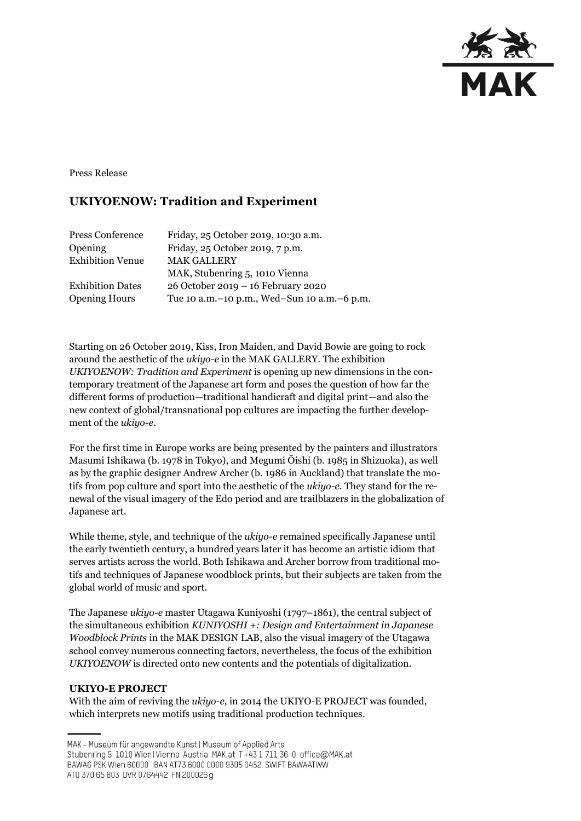

Press Release

## **UKIYOENOW: Tradition and Experiment**

| Press Conference        | Friday, 25 October 2019, 10:30 a.m.             |
|-------------------------|-------------------------------------------------|
| Opening                 | Friday, 25 October 2019, 7 p.m.                 |
| <b>Exhibition Venue</b> | <b>MAK GALLERY</b>                              |
|                         | MAK, Stubenring 5, 1010 Vienna                  |
| <b>Exhibition Dates</b> | 26 October 2019 - 16 February 2020              |
| <b>Opening Hours</b>    | Tue 10 a.m. - 10 p.m., Wed-Sun 10 a.m. - 6 p.m. |

Starting on 26 October 2019, Kiss, Iron Maiden, and David Bowie are going to rock around the aesthetic of the *ukiyo-e* in the MAK GALLERY. The exhibition *UKIYOENOW: Tradition and Experiment* is opening up new dimensions in the contemporary treatment of the Japanese art form and poses the question of how far the different forms of production—traditional handicraft and digital print—and also the new context of global/transnational pop cultures are impacting the further development of the *ukiyo-e*.

For the first time in Europe works are being presented by the painters and illustrators Masumi Ishikawa (b. 1978 in Tokyo), and Megumi Ōishi (b. 1985 in Shizuoka), as well as by the graphic designer Andrew Archer (b. 1986 in Auckland) that translate the motifs from pop culture and sport into the aesthetic of the *ukiyo-e*. They stand for the renewal of the visual imagery of the Edo period and are trailblazers in the globalization of Japanese art.

While theme, style, and technique of the *ukiyo-e* remained specifically Japanese until the early twentieth century, a hundred years later it has become an artistic idiom that serves artists across the world. Both Ishikawa and Archer borrow from traditional motifs and techniques of Japanese woodblock prints, but their subjects are taken from the global world of music and sport.

The Japanese *ukiyo-e* master Utagawa Kuniyoshi (1797–1861), the central subject of the simultaneous exhibition *KUNIYOSHI +: Design and Entertainment in Japanese Woodblock Prints* in the MAK DESIGN LAB, also the visual imagery of the Utagawa school convey numerous connecting factors, nevertheless, the focus of the exhibition *UKIYOENOW* is directed onto new contents and the potentials of digitalization.

## **UKIYO-E PROJECT**

With the aim of reviving the *ukiyo-e*, in 2014 the UKIYO-E PROJECT was founded, which interprets new motifs using traditional production techniques.

MAK - Museum für angewandte Kunst | Museum of Applied Arts

Stubenring 5 1010 Wien | Vienna Austria MAK.at T+43 1 711 36-0 office@MAK.at

BAWAG PSK Wien 60000 IBAN AT73 6000 0000 9305 0452 SWIFT BAWAATWW ATU 370 65 803 DVR 0764442 FN 200026 g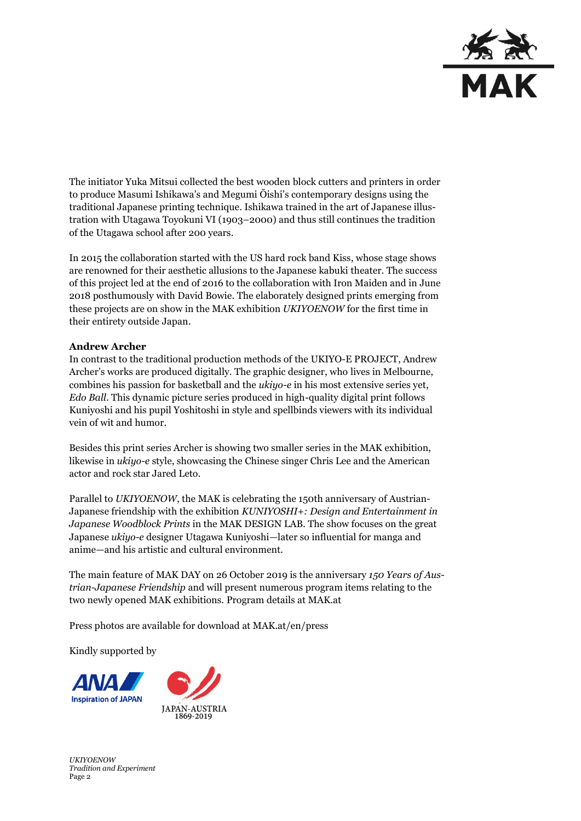

The initiator Yuka Mitsui collected the best wooden block cutters and printers in order to produce Masumi Ishikawa's and Megumi Ōishi's contemporary designs using the traditional Japanese printing technique. Ishikawa trained in the art of Japanese illustration with Utagawa Toyokuni VI (1903–2000) and thus still continues the tradition of the Utagawa school after 200 years.

In 2015 the collaboration started with the US hard rock band Kiss, whose stage shows are renowned for their aesthetic allusions to the Japanese kabuki theater. The success of this project led at the end of 2016 to the collaboration with Iron Maiden and in June 2018 posthumously with David Bowie. The elaborately designed prints emerging from these projects are on show in the MAK exhibition *UKIYOENOW* for the first time in their entirety outside Japan.

## **Andrew Archer**

In contrast to the traditional production methods of the UKIYO-E PROJECT, Andrew Archer's works are produced digitally. The graphic designer, who lives in Melbourne, combines his passion for basketball and the *ukiyo-e* in his most extensive series yet, *Edo Ball*. This dynamic picture series produced in high-quality digital print follows Kuniyoshi and his pupil Yoshitoshi in style and spellbinds viewers with its individual vein of wit and humor.

Besides this print series Archer is showing two smaller series in the MAK exhibition, likewise in *ukiyo-e* style, showcasing the Chinese singer Chris Lee and the American actor and rock star Jared Leto.

Parallel to *UKIYOENOW*, the MAK is celebrating the 150th anniversary of Austrian-Japanese friendship with the exhibition *KUNIYOSHI+: Design and Entertainment in Japanese Woodblock Prints* in the MAK DESIGN LAB. The show focuses on the great Japanese *ukiyo-e* designer Utagawa Kuniyoshi—later so influential for manga and anime—and his artistic and cultural environment.

The main feature of MAK DAY on 26 October 2019 is the anniversary *150 Years of Austrian-Japanese Friendship* and will present numerous program items relating to the two newly opened MAK exhibitions. Program details at MAK.at

Press photos are available for download at MAK.at/en/press

Kindly supported by



*UKIYOENOW Tradition and Experiment* Page 2